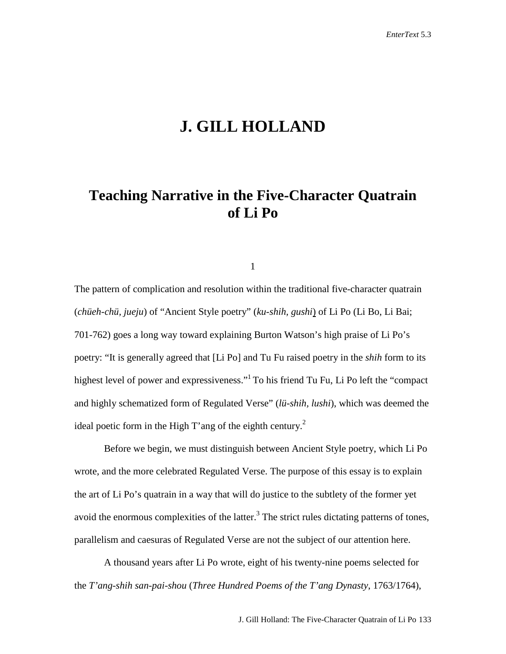# **J. GILL HOLLAND**

## **Teaching Narrative in the Five-Character Quatrain of Li Po**

1

The pattern of complication and resolution within the traditional five-character quatrain (*chüeh-chü, jueju*) of "Ancient Style poetry" (*ku-shih, gushi*) of Li Po (Li Bo, Li Bai; 701-762) goes a long way toward explaining Burton Watson's high praise of Li Po's poetry: "It is generally agreed that [Li Po] and Tu Fu raised poetry in the *shih* form to its highest level of power and expressiveness."<sup>1</sup> To his friend Tu Fu, Li Po left the "compact" and highly schematized form of Regulated Verse" (*lü-shih, lushi*), which was deemed the ideal poetic form in the High T'ang of the eighth century.<sup>2</sup>

Before we begin, we must distinguish between Ancient Style poetry, which Li Po wrote, and the more celebrated Regulated Verse. The purpose of this essay is to explain the art of Li Po's quatrain in a way that will do justice to the subtlety of the former yet avoid the enormous complexities of the latter. $3$  The strict rules dictating patterns of tones, parallelism and caesuras of Regulated Verse are not the subject of our attention here.

A thousand years after Li Po wrote, eight of his twenty-nine poems selected for the *T'ang-shih san-pai-shou* (*Three Hundred Poems of the T'ang Dynasty*, 1763/1764),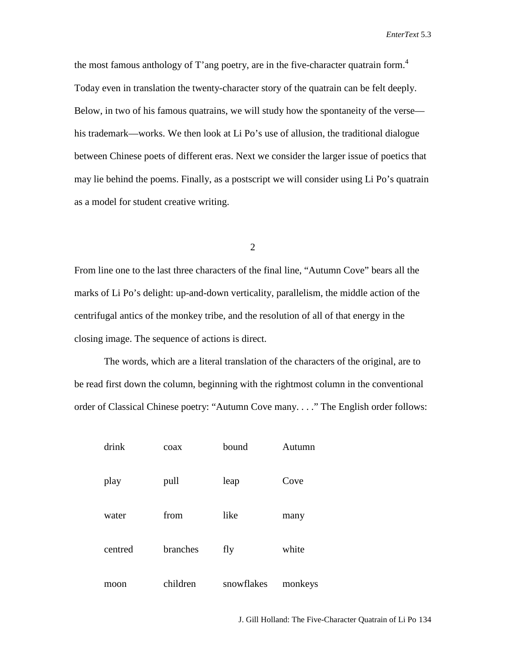the most famous anthology of T'ang poetry, are in the five-character quatrain form.<sup>4</sup> Today even in translation the twenty-character story of the quatrain can be felt deeply. Below, in two of his famous quatrains, we will study how the spontaneity of the verse his trademark—works. We then look at Li Po's use of allusion, the traditional dialogue between Chinese poets of different eras. Next we consider the larger issue of poetics that may lie behind the poems. Finally, as a postscript we will consider using Li Po's quatrain as a model for student creative writing.

2

From line one to the last three characters of the final line, "Autumn Cove" bears all the marks of Li Po's delight: up-and-down verticality, parallelism, the middle action of the centrifugal antics of the monkey tribe, and the resolution of all of that energy in the closing image. The sequence of actions is direct.

The words, which are a literal translation of the characters of the original, are to be read first down the column, beginning with the rightmost column in the conventional order of Classical Chinese poetry: "Autumn Cove many. . . ." The English order follows:

| drink   | coax     | bound      | Autumn  |
|---------|----------|------------|---------|
| play    | pull     | leap       | Cove    |
| water   | from     | like       | many    |
| centred | branches | fly        | white   |
| moon    | children | snowflakes | monkeys |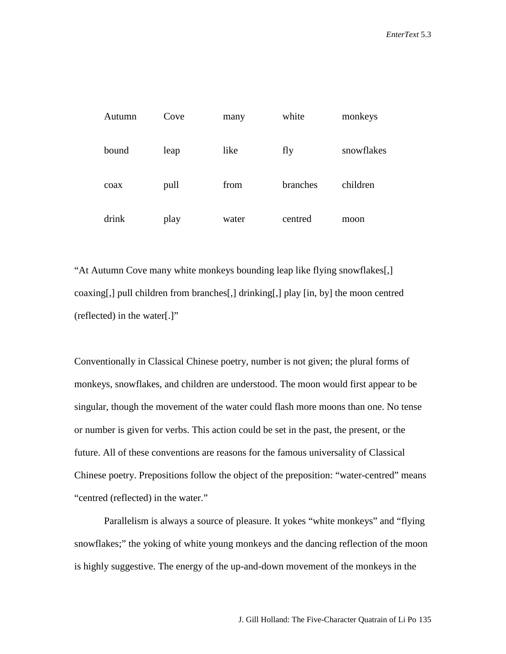| Autumn | Cove | many  | white    | monkeys    |
|--------|------|-------|----------|------------|
| bound  | leap | like  | fly      | snowflakes |
| coax   | pull | from  | branches | children   |
| drink  | play | water | centred  | moon       |

"At Autumn Cove many white monkeys bounding leap like flying snowflakes[,] coaxing[,] pull children from branches[,] drinking[,] play [in, by] the moon centred (reflected) in the water[.]"

Conventionally in Classical Chinese poetry, number is not given; the plural forms of monkeys, snowflakes, and children are understood. The moon would first appear to be singular, though the movement of the water could flash more moons than one. No tense or number is given for verbs. This action could be set in the past, the present, or the future. All of these conventions are reasons for the famous universality of Classical Chinese poetry. Prepositions follow the object of the preposition: "water-centred" means "centred (reflected) in the water."

Parallelism is always a source of pleasure. It yokes "white monkeys" and "flying snowflakes;" the yoking of white young monkeys and the dancing reflection of the moon is highly suggestive. The energy of the up-and-down movement of the monkeys in the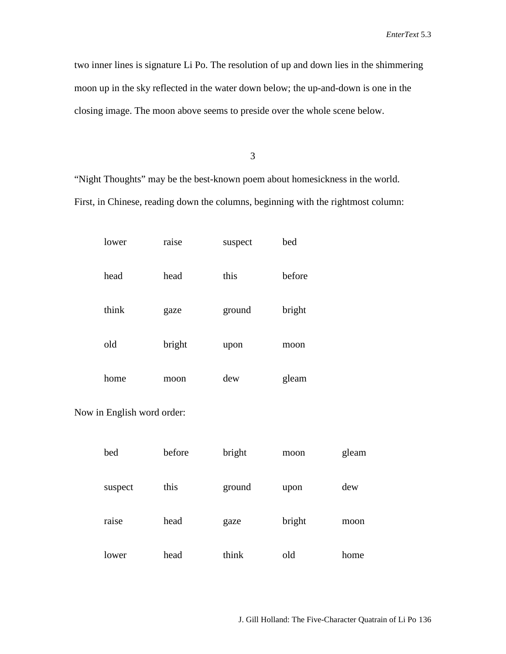two inner lines is signature Li Po. The resolution of up and down lies in the shimmering moon up in the sky reflected in the water down below; the up-and-down is one in the closing image. The moon above seems to preside over the whole scene below.

3

"Night Thoughts" may be the best-known poem about homesickness in the world. First, in Chinese, reading down the columns, beginning with the rightmost column:

| lower | raise  | suspect | bed    |
|-------|--------|---------|--------|
| head  | head   | this    | before |
| think | gaze   | ground  | bright |
| old   | bright | upon    | moon   |
| home  | moon   | dew     | gleam  |

Now in English word order:

| bed     | before | bright | moon   | gleam |
|---------|--------|--------|--------|-------|
| suspect | this   | ground | upon   | dew   |
| raise   | head   | gaze   | bright | moon  |
| lower   | head   | think  | old    | home  |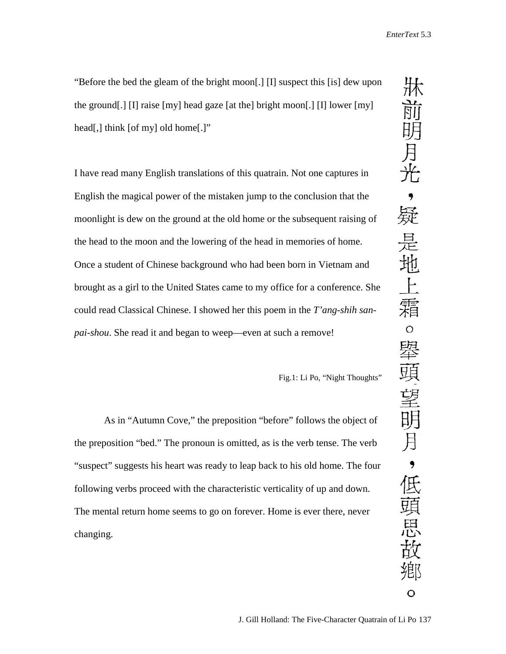"Before the bed the gleam of the bright moon[.] [I] suspect this [is] dew upon the ground[.] [I] raise [my] head gaze [at the] bright moon[.] [I] lower [my] head[,] think [of my] old home[.]"

I have read many English translations of this quatrain. Not one captures in English the magical power of the mistaken jump to the conclusion that the moonlight is dew on the ground at the old home or the subsequent raising of the head to the moon and the lowering of the head in memories of home. Once a student of Chinese background who had been born in Vietnam and brought as a girl to the United States came to my office for a conference. She could read Classical Chinese. I showed her this poem in the *T'ang-shih sanpai-shou*. She read it and began to weep—even at such a remove!

Fig.1: Li Po, "Night Thoughts"

As in "Autumn Cove," the preposition "before" follows the object of the preposition "bed." The pronoun is omitted, as is the verb tense. The verb "suspect" suggests his heart was ready to leap back to his old home. The four following verbs proceed with the characteristic verticality of up and down. The mental return home seems to go on forever. Home is ever there, never changing.

床前明月光 , 疑 是地 霜  $\circ$ 舉頭望明月 ,低頭思故 鄕 O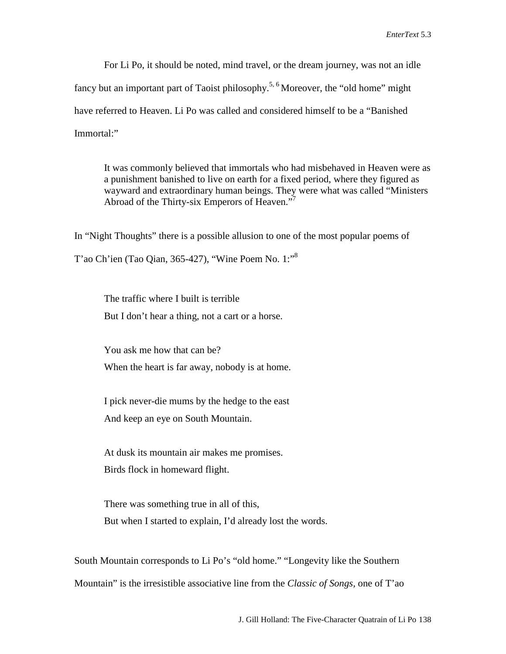For Li Po, it should be noted, mind travel, or the dream journey, was not an idle fancy but an important part of Taoist philosophy.<sup>5, 6</sup> Moreover, the "old home" might have referred to Heaven. Li Po was called and considered himself to be a "Banished Immortal:"

It was commonly believed that immortals who had misbehaved in Heaven were as a punishment banished to live on earth for a fixed period, where they figured as wayward and extraordinary human beings. They were what was called "Ministers Abroad of the Thirty-six Emperors of Heaven."<sup>7</sup>

In "Night Thoughts" there is a possible allusion to one of the most popular poems of T'ao Ch'ien (Tao Qian, 365-427), "Wine Poem No. 1:"8

The traffic where I built is terrible But I don't hear a thing, not a cart or a horse.

You ask me how that can be? When the heart is far away, nobody is at home.

I pick never-die mums by the hedge to the east And keep an eye on South Mountain.

At dusk its mountain air makes me promises. Birds flock in homeward flight.

There was something true in all of this, But when I started to explain, I'd already lost the words.

South Mountain corresponds to Li Po's "old home." "Longevity like the Southern Mountain" is the irresistible associative line from the *Classic of Songs,* one of T'ao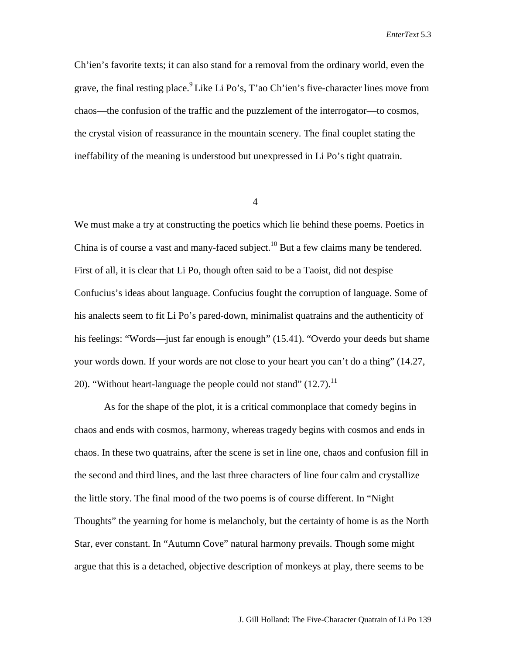Ch'ien's favorite texts; it can also stand for a removal from the ordinary world, even the grave, the final resting place.<sup>9</sup> Like Li Po's, T'ao Ch'ien's five-character lines move from chaos—the confusion of the traffic and the puzzlement of the interrogator—to cosmos, the crystal vision of reassurance in the mountain scenery. The final couplet stating the ineffability of the meaning is understood but unexpressed in Li Po's tight quatrain.

4

We must make a try at constructing the poetics which lie behind these poems. Poetics in China is of course a vast and many-faced subject.<sup>10</sup> But a few claims many be tendered. First of all, it is clear that Li Po, though often said to be a Taoist, did not despise Confucius's ideas about language. Confucius fought the corruption of language. Some of his analects seem to fit Li Po's pared-down, minimalist quatrains and the authenticity of his feelings: "Words—just far enough is enough" (15.41). "Overdo your deeds but shame your words down. If your words are not close to your heart you can't do a thing" (14.27, 20). "Without heart-language the people could not stand"  $(12.7)$ .<sup>11</sup>

As for the shape of the plot, it is a critical commonplace that comedy begins in chaos and ends with cosmos, harmony, whereas tragedy begins with cosmos and ends in chaos. In these two quatrains, after the scene is set in line one, chaos and confusion fill in the second and third lines, and the last three characters of line four calm and crystallize the little story. The final mood of the two poems is of course different. In "Night Thoughts" the yearning for home is melancholy, but the certainty of home is as the North Star, ever constant. In "Autumn Cove" natural harmony prevails. Though some might argue that this is a detached, objective description of monkeys at play, there seems to be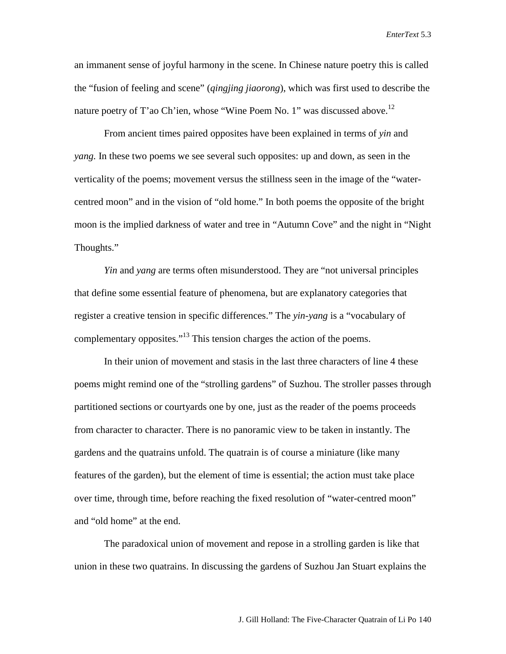an immanent sense of joyful harmony in the scene. In Chinese nature poetry this is called the "fusion of feeling and scene" (*qingjing jiaorong*), which was first used to describe the nature poetry of T'ao Ch'ien, whose "Wine Poem No. 1" was discussed above.<sup>12</sup>

From ancient times paired opposites have been explained in terms of *yin* and *yang.* In these two poems we see several such opposites: up and down, as seen in the verticality of the poems; movement versus the stillness seen in the image of the "watercentred moon" and in the vision of "old home." In both poems the opposite of the bright moon is the implied darkness of water and tree in "Autumn Cove" and the night in "Night Thoughts."

*Yin* and *yang* are terms often misunderstood. They are "not universal principles" that define some essential feature of phenomena, but are explanatory categories that register a creative tension in specific differences." The *yin-yang* is a "vocabulary of complementary opposites."<sup>13</sup> This tension charges the action of the poems.

In their union of movement and stasis in the last three characters of line 4 these poems might remind one of the "strolling gardens" of Suzhou. The stroller passes through partitioned sections or courtyards one by one, just as the reader of the poems proceeds from character to character. There is no panoramic view to be taken in instantly. The gardens and the quatrains unfold. The quatrain is of course a miniature (like many features of the garden), but the element of time is essential; the action must take place over time, through time, before reaching the fixed resolution of "water-centred moon" and "old home" at the end.

The paradoxical union of movement and repose in a strolling garden is like that union in these two quatrains. In discussing the gardens of Suzhou Jan Stuart explains the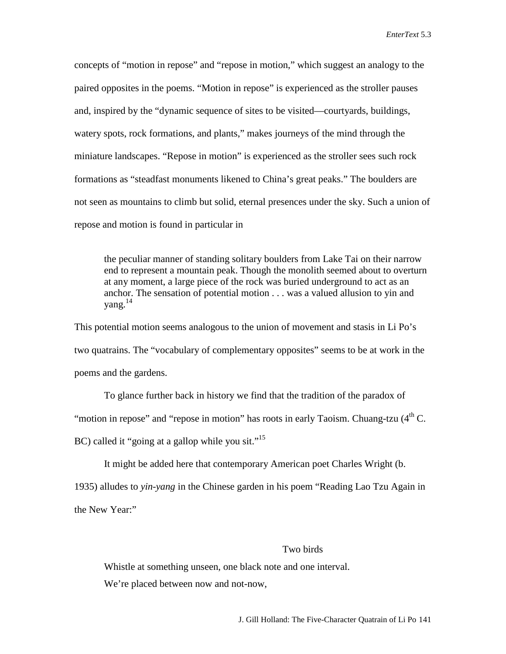concepts of "motion in repose" and "repose in motion," which suggest an analogy to the paired opposites in the poems. "Motion in repose" is experienced as the stroller pauses and, inspired by the "dynamic sequence of sites to be visited—courtyards, buildings, watery spots, rock formations, and plants," makes journeys of the mind through the miniature landscapes. "Repose in motion" is experienced as the stroller sees such rock formations as "steadfast monuments likened to China's great peaks." The boulders are not seen as mountains to climb but solid, eternal presences under the sky. Such a union of repose and motion is found in particular in

the peculiar manner of standing solitary boulders from Lake Tai on their narrow end to represent a mountain peak. Though the monolith seemed about to overturn at any moment, a large piece of the rock was buried underground to act as an anchor. The sensation of potential motion . . . was a valued allusion to yin and yang.14

This potential motion seems analogous to the union of movement and stasis in Li Po's two quatrains. The "vocabulary of complementary opposites" seems to be at work in the poems and the gardens.

To glance further back in history we find that the tradition of the paradox of

"motion in repose" and "repose in motion" has roots in early Taoism. Chuang-tzu  $(4<sup>th</sup> C)$ .

BC) called it "going at a gallop while you sit."<sup>15</sup>

It might be added here that contemporary American poet Charles Wright (b.

1935) alludes to *yin-yang* in the Chinese garden in his poem "Reading Lao Tzu Again in

the New Year:"

### Two birds

Whistle at something unseen, one black note and one interval. We're placed between now and not-now,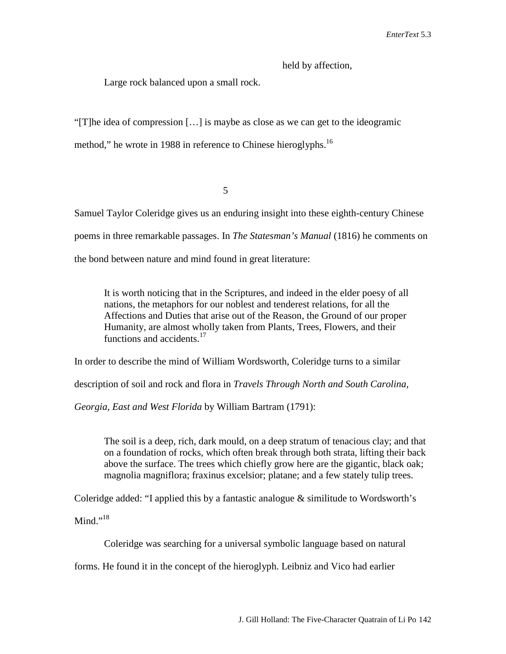held by affection,

Large rock balanced upon a small rock.

"[T]he idea of compression […] is maybe as close as we can get to the ideogramic

method," he wrote in 1988 in reference to Chinese hieroglyphs.<sup>16</sup>

5

Samuel Taylor Coleridge gives us an enduring insight into these eighth-century Chinese poems in three remarkable passages. In *The Statesman's Manual* (1816) he comments on the bond between nature and mind found in great literature:

It is worth noticing that in the Scriptures, and indeed in the elder poesy of all nations, the metaphors for our noblest and tenderest relations, for all the Affections and Duties that arise out of the Reason, the Ground of our proper Humanity, are almost wholly taken from Plants, Trees, Flowers, and their functions and accidents.<sup>17</sup>

In order to describe the mind of William Wordsworth, Coleridge turns to a similar

description of soil and rock and flora in *Travels Through North and South Carolina,* 

*Georgia, East and West Florida* by William Bartram (1791):

The soil is a deep, rich, dark mould, on a deep stratum of tenacious clay; and that on a foundation of rocks, which often break through both strata, lifting their back above the surface. The trees which chiefly grow here are the gigantic, black oak; magnolia magniflora; fraxinus excelsior; platane; and a few stately tulip trees.

Coleridge added: "I applied this by a fantastic analogue & similitude to Wordsworth's

Mind." $^{18}$ 

Coleridge was searching for a universal symbolic language based on natural

forms. He found it in the concept of the hieroglyph. Leibniz and Vico had earlier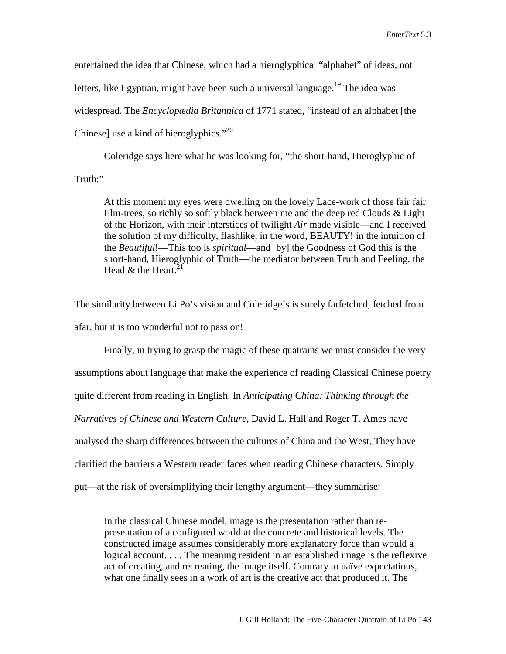entertained the idea that Chinese, which had a hieroglyphical "alphabet" of ideas, not letters, like Egyptian, might have been such a universal language.<sup>19</sup> The idea was widespread. The *Encyclopædia Britannica* of 1771 stated, "instead of an alphabet [the Chinese] use a kind of hieroglyphics."<sup>20</sup>

Coleridge says here what he was looking for, "the short-hand, Hieroglyphic of Truth:"

At this moment my eyes were dwelling on the lovely Lace-work of those fair fair Elm-trees, so richly so softly black between me and the deep red Clouds & Light of the Horizon, with their interstices of twilight *Air* made visible—and I received the solution of my difficulty, flashlike, in the word, BEAUTY! in the intuition of the *Beautiful*!—This too is *spiritual*—and [by] the Goodness of God this is the short-hand, Hieroglyphic of Truth—the mediator between Truth and Feeling, the Head  $&$  the Heart.<sup>2</sup>

The similarity between Li Po's vision and Coleridge's is surely farfetched, fetched from afar, but it is too wonderful not to pass on!

Finally, in trying to grasp the magic of these quatrains we must consider the very assumptions about language that make the experience of reading Classical Chinese poetry quite different from reading in English. In *Anticipating China: Thinking through the Narratives of Chinese and Western Culture,* David L. Hall and Roger T. Ames have analysed the sharp differences between the cultures of China and the West. They have clarified the barriers a Western reader faces when reading Chinese characters. Simply put—at the risk of oversimplifying their lengthy argument—they summarise:

In the classical Chinese model, image is the presentation rather than representation of a configured world at the concrete and historical levels. The constructed image assumes considerably more explanatory force than would a logical account. . . . The meaning resident in an established image is the reflexive act of creating, and recreating, the image itself. Contrary to naïve expectations, what one finally sees in a work of art is the creative act that produced it. The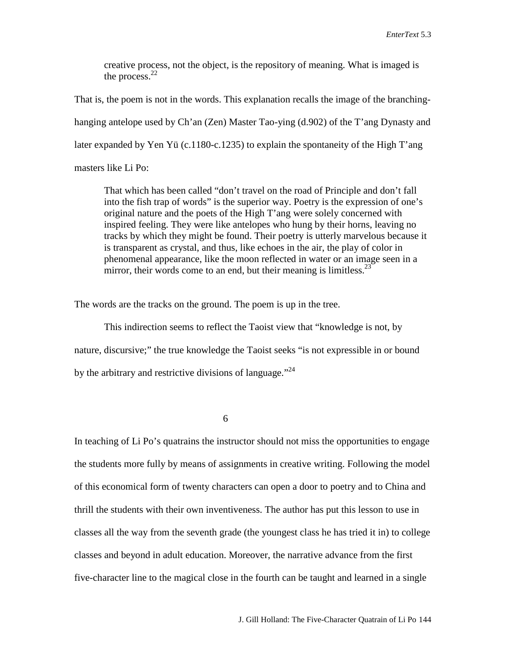creative process, not the object, is the repository of meaning. What is imaged is the process. $^{22}$ 

That is, the poem is not in the words. This explanation recalls the image of the branchinghanging antelope used by Ch'an (Zen) Master Tao-ying (d.902) of the T'ang Dynasty and later expanded by Yen Yü (c.1180-c.1235) to explain the spontaneity of the High T'ang masters like Li Po:

That which has been called "don't travel on the road of Principle and don't fall into the fish trap of words" is the superior way. Poetry is the expression of one's original nature and the poets of the High T'ang were solely concerned with inspired feeling. They were like antelopes who hung by their horns, leaving no tracks by which they might be found. Their poetry is utterly marvelous because it is transparent as crystal, and thus, like echoes in the air, the play of color in phenomenal appearance, like the moon reflected in water or an image seen in a mirror, their words come to an end, but their meaning is limitless. $^{23}$ 

The words are the tracks on the ground. The poem is up in the tree.

This indirection seems to reflect the Taoist view that "knowledge is not, by nature, discursive;" the true knowledge the Taoist seeks "is not expressible in or bound by the arbitrary and restrictive divisions of language."<sup>24</sup>

6

In teaching of Li Po's quatrains the instructor should not miss the opportunities to engage the students more fully by means of assignments in creative writing. Following the model of this economical form of twenty characters can open a door to poetry and to China and thrill the students with their own inventiveness. The author has put this lesson to use in classes all the way from the seventh grade (the youngest class he has tried it in) to college classes and beyond in adult education. Moreover, the narrative advance from the first five-character line to the magical close in the fourth can be taught and learned in a single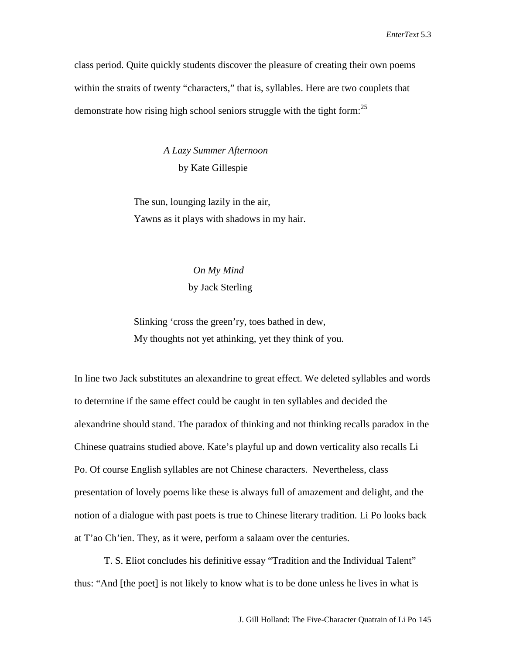class period. Quite quickly students discover the pleasure of creating their own poems within the straits of twenty "characters," that is, syllables. Here are two couplets that demonstrate how rising high school seniors struggle with the tight form:  $25$ 

> *A Lazy Summer Afternoon* by Kate Gillespie

The sun, lounging lazily in the air, Yawns as it plays with shadows in my hair.

### *On My Mind* by Jack Sterling

Slinking 'cross the green'ry, toes bathed in dew, My thoughts not yet athinking, yet they think of you.

In line two Jack substitutes an alexandrine to great effect. We deleted syllables and words to determine if the same effect could be caught in ten syllables and decided the alexandrine should stand. The paradox of thinking and not thinking recalls paradox in the Chinese quatrains studied above. Kate's playful up and down verticality also recalls Li Po. Of course English syllables are not Chinese characters. Nevertheless, class presentation of lovely poems like these is always full of amazement and delight, and the notion of a dialogue with past poets is true to Chinese literary tradition. Li Po looks back at T'ao Ch'ien. They, as it were, perform a salaam over the centuries.

T. S. Eliot concludes his definitive essay "Tradition and the Individual Talent" thus: "And [the poet] is not likely to know what is to be done unless he lives in what is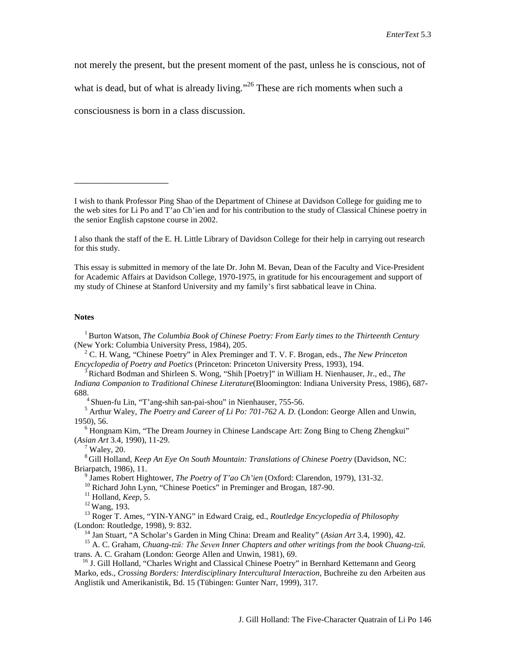not merely the present, but the present moment of the past, unless he is conscious, not of

what is dead, but of what is already living."<sup>26</sup> These are rich moments when such a

consciousness is born in a class discussion.

\_\_\_\_\_\_\_\_\_\_\_\_\_\_\_\_\_\_\_

This essay is submitted in memory of the late Dr. John M. Bevan, Dean of the Faculty and Vice-President for Academic Affairs at Davidson College, 1970-1975, in gratitude for his encouragement and support of my study of Chinese at Stanford University and my family's first sabbatical leave in China.

#### **Notes**

 1 Burton Watson, *The Columbia Book of Chinese Poetry: From Early times to the Thirteenth Century* (New York: Columbia University Press, 1984), 205.

 <sup>2</sup> C. H. Wang, "Chinese Poetry" in Alex Preminger and T. V. F. Brogan, eds., *The New Princeton Encyclopedia of Poetry and Poetics* (Princeton: Princeton University Press, 1993), 194.

 3 Richard Bodman and Shirleen S. Wong, "Shih [Poetry]" in William H. Nienhauser, Jr., ed., *The Indiana Companion to Traditional Chinese Literature*(Bloomington: Indiana University Press, 1986), 687- 688.

4 Shuen-fu Lin, "T'ang-shih san-pai-shou" in Nienhauser, 755-56.

 <sup>5</sup> Arthur Waley, *The Poetry and Career of Li Po: 701-762 A. D.* (London: George Allen and Unwin, 1950), 56.

 <sup>6</sup> Hongnam Kim, "The Dream Journey in Chinese Landscape Art: Zong Bing to Cheng Zhengkui" (*Asian Art* 3.4, 1990), 11-29.

Waley, 20.

 8 Gill Holland, *Keep An Eye On South Mountain: Translations of Chinese Poetry* (Davidson, NC: Briarpatch, 1986), 11.

<sup>9</sup> James Robert Hightower, *The Poetry of T'ao Ch'ien* (Oxford: Clarendon, 1979), 131-32.

<sup>10</sup> Richard John Lynn, "Chinese Poetics" in Preminger and Brogan, 187-90.

<sup>11</sup> Holland, *Keep*, 5.

12 Wang, 193.

 <sup>13</sup> Roger T. Ames, "YIN-YANG" in Edward Craig, ed., *Routledge Encyclopedia of Philosophy* (London: Routledge, 1998), 9: 832.

<sup>14</sup> Jan Stuart, "A Scholar's Garden in Ming China: Dream and Reality" (*Asian Art* 3.4, 1990), 42.

 <sup>15</sup> A. C. Graham, *Chuang-tzŭ: The Seven Inner Chapters and other writings from the book Chuang-tzŭ,* trans. A. C. Graham (London: George Allen and Unwin, 1981), 69.

<sup>16</sup> J. Gill Holland, "Charles Wright and Classical Chinese Poetry" in Bernhard Kettemann and Georg Marko, eds., *Crossing Borders: Interdisciplinary Intercultural Interaction*, Buchreihe zu den Arbeiten aus Anglistik und Amerikanistik, Bd. 15 (Tübingen: Gunter Narr, 1999), 317.

I wish to thank Professor Ping Shao of the Department of Chinese at Davidson College for guiding me to the web sites for Li Po and T'ao Ch'ien and for his contribution to the study of Classical Chinese poetry in the senior English capstone course in 2002.

I also thank the staff of the E. H. Little Library of Davidson College for their help in carrying out research for this study.